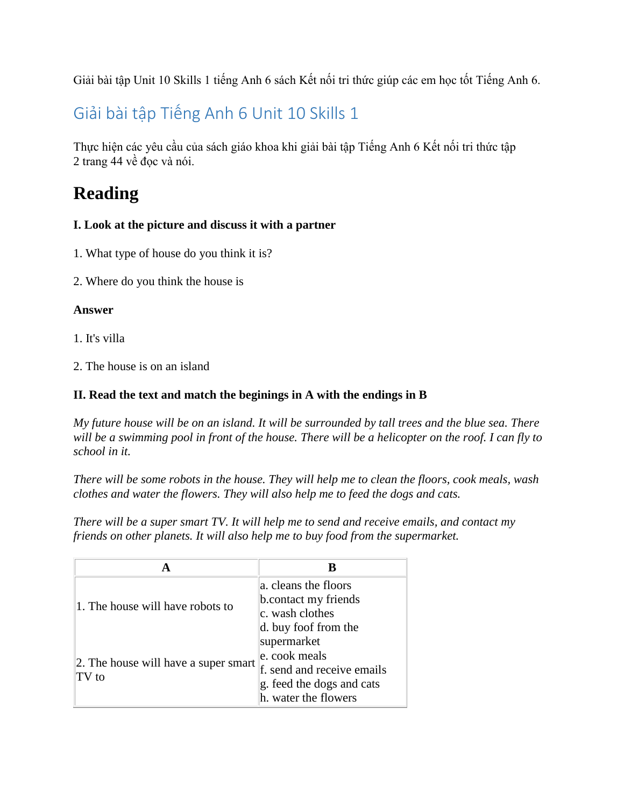Giải bài tập Unit 10 Skills 1 tiếng Anh 6 sách Kết nối tri thức giúp các em học tốt Tiếng Anh 6.

## Giải bài tập Tiếng Anh 6 Unit 10 Skills 1

Thực hiện các yêu cầu của sách giáo khoa khi [giải bài tập Tiếng Anh 6 Kết nối tri thức](https://doctailieu.com/giai-bai-tap-tieng-anh-6-ket-noi-tri-thuc-global-success) tập 2 trang 44 về đọc và nói.

# **Reading**

## **I. Look at the picture and discuss it with a partner**

- 1. What type of house do you think it is?
- 2. Where do you think the house is

## **Answer**

1. It's villa

2. The house is on an island

## **II. Read the text and match the beginings in A with the endings in B**

*My future house will be on an island. It will be surrounded by tall trees and the blue sea. There will be a swimming pool in front of the house. There will be a helicopter on the roof. I can fly to school in it.*

*There will be some robots in the house. They will help me to clean the floors, cook meals, wash clothes and water the flowers. They will also help me to feed the dogs and cats.*

*There will be a super smart TV. It will help me to send and receive emails, and contact my friends on other planets. It will also help me to buy food from the supermarket.*

|                                                | В                          |
|------------------------------------------------|----------------------------|
| 1. The house will have robots to               | a. cleans the floors       |
|                                                | b.contact my friends       |
|                                                | c. wash clothes            |
|                                                | d. buy foof from the       |
| 2. The house will have a super smart<br>T V t0 | supermarket                |
|                                                | e. cook meals              |
|                                                | f. send and receive emails |
|                                                | g. feed the dogs and cats  |
|                                                | h. water the flowers       |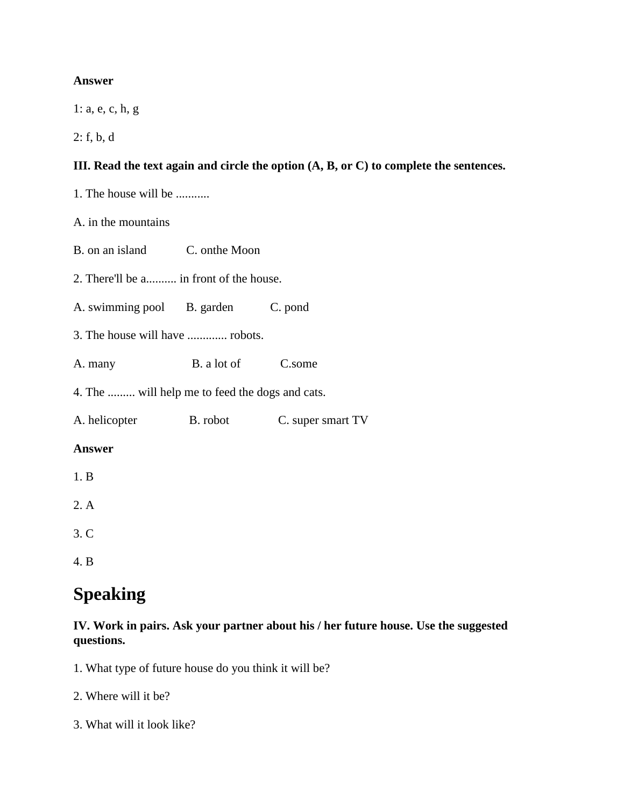### **Answer**

1: a, e, c, h, g

2: f, b, d

## **III. Read the text again and circle the option (A, B, or C) to complete the sentences.**

1. The house will be ...........

A. in the mountains

- B. on an island C. onthe Moon
- 2. There'll be a.......... in front of the house.
- A. swimming pool B. garden C. pond
- 3. The house will have ............. robots.
- A. many B. a lot of C.some

4. The ......... will help me to feed the dogs and cats.

A. helicopter B. robot C. super smart TV

### **Answer**

- 1. B
- 2. A
- 3. C
- 4. B

## **Speaking**

### **IV. Work in pairs. Ask your partner about his / her future house. Use the suggested questions.**

- 1. What type of future house do you think it will be?
- 2. Where will it be?
- 3. What will it look like?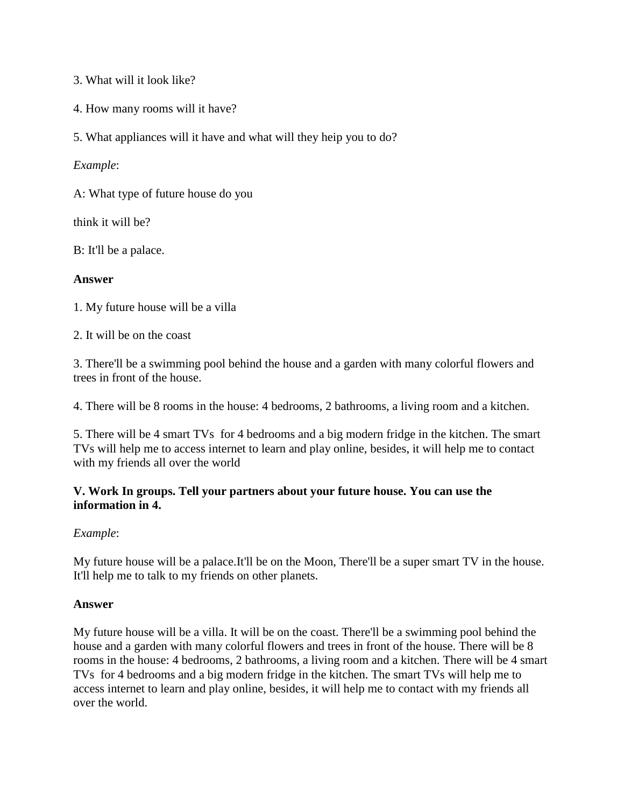3. What will it look like?

- 4. How many rooms will it have?
- 5. What appliances will it have and what will they heip you to do?

### *Example*:

A: What type of future house do you

think it will be?

B: It'll be a palace.

### **Answer**

1. My future house will be a villa

2. It will be on the coast

3. There'll be a swimming pool behind the house and a garden with many colorful flowers and trees in front of the house.

4. There will be 8 rooms in the house: 4 bedrooms, 2 bathrooms, a living room and a kitchen.

5. There will be 4 smart TVs for 4 bedrooms and a big modern fridge in the kitchen. The smart TVs will help me to access internet to learn and play online, besides, it will help me to contact with my friends all over the world

### **V. Work In groups. Tell your partners about your future house. You can use the information in 4.**

### *Example*:

My future house will be a palace.It'll be on the Moon, There'll be a super smart TV in the house. It'll help me to talk to my friends on other planets.

### **Answer**

My future house will be a villa. It will be on the coast. There'll be a swimming pool behind the house and a garden with many colorful flowers and trees in front of the house. There will be 8 rooms in the house: 4 bedrooms, 2 bathrooms, a living room and a kitchen. There will be 4 smart TVs for 4 bedrooms and a big modern fridge in the kitchen. The smart TVs will help me to access internet to learn and play online, besides, it will help me to contact with my friends all over the world.